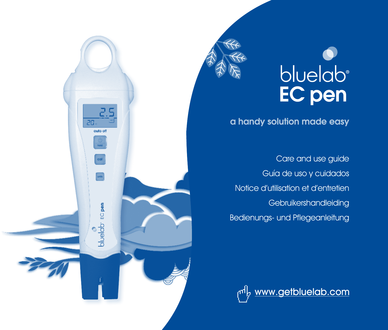



a handy solution made easy

Care and use guide Guía de uso y cuidados Notice d'utilisation et d'entretien Gebruikershandleiding Bedienungs- und Pflegeanleitung

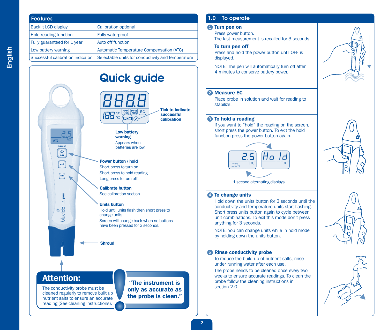| <b>Features</b>                  |                                                   |
|----------------------------------|---------------------------------------------------|
| <b>Backlit LCD display</b>       | <b>Calibration optional</b>                       |
| <b>Hold reading function</b>     | Fully waterproof                                  |
| Fully guaranteed for 1 year      | Auto off function                                 |
| Low battery warning              | Automatic Temperature Compensation (ATC)          |
| Successful calibration indicator | Selectable units for conductivity and temperature |

# Quick guide  $P_{700}$  $E$ **IBB:5**

Tick to indicate successful calibration

#### Low battery warning Appears when batteries are low.

#### Power button / hold

Short press to turn on. Short press to hold reading. Long press to turn off.

#### Calibrate button

See calibration section.

#### Units button

Hold until units flash then short press to change units. Screen will change back when no buttons. have been pressed for 3 seconds.

Shroud

# Attention:

 $\frac{d}{d}$ 

cal

 $\Omega$ oluelab

The conductivity probe must be cleaned regularly to remove built up nutrient salts to ensure an accurate reading (See cleaning instructions).

"The instrument is only as accurate as the probe is clean."

### 1.0 To operate

#### Turn pen on 1

Press power button. The last measurement is recalled for 3 seconds.

#### To turn pen off

Press and hold the power button until OFF is displayed.

NOTE: The pen will automatically turn off after 4 minutes to conserve battery power.

#### 2 Measure EC

Place probe in solution and wait for reading to stabilize.

#### **3** To hold a reading

If you want to "hold" the reading on the screen, short press the power button. To exit the hold function press the power button again.



1 second alternating displays

#### 4) To change units

Hold down the units button for 3 seconds until the conductivity and temperature units start flashing. Short press units button again to cycle between unit combinations. To exit this mode don't press anything for 3 seconds.

NOTE: You can change units while in hold mode by holding down the units button.

#### **5** Rinse conductivity probe

To reduce the build-up of nutrient salts, rinse under running water after each use.

The probe needs to be cleaned once every two weeks to ensure accurate readings. To clean the probe follow the cleaning instructions in section 2.0.







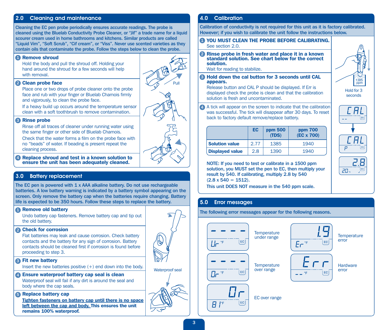#### 2.0 Cleaning and maintenance

Cleaning the EC pen probe periodically ensures accurate readings. The probe is cleaned using the Bluelab Conductivity Probe Cleaner, or "Jif" a trade name for a liquid scourer cream used in home bathrooms and kitchens. Similar products are called "Liquid Vim", "Soft Scrub", "Cif cream", or "Viss". Never use scented varieties as they contain oils that contaminate the probe. Follow the steps below to clean the probe.

#### **Remove shroud**

Hold the body and pull the shroud off. Holding your hand around the shroud for a few seconds will help with removal.

#### 2 Clean probe face

Place one or two drops of probe cleaner onto the probe face and rub with your finger or Bluelab Chamois firmly and vigorously, to clean the probe face.

If a heavy build up occurs around the temperature sensor clean with a soft toothbrush to remove contamination.

#### **3** Rinse probe

Rinse off all traces of cleaner under running water using the same finger or other side of Bluelab Chamois.

Check that the water forms a film on the probe face with no "beads" of water. If beading is present repeat the cleaning process.

4 Replace shroud and test in a known solution to ensure the unit has been adequately cleaned.

#### 3.0 Battery replacement

The EC pen is powered with 1 x AAA alkaline battery. Do not use rechargeable batteries. A low battery warning is indicated by a battery symbol appearing on the screen. Only remove the battery cap when the batteries require changing. Battery life is expected to be 350 hours. Follow these steps to replace the battery.

#### **Remove old battery**

Undo battery cap fasteners. Remove battery cap and tip out the old battery.

#### 2 Check for corrosion

Flat batteries may leak and cause corrosion. Check battery contacts and the battery for any sign of corrosion. Battery contacts should be cleaned first if corrosion is found before proceeding to step 3.

#### **3** Fit new battery

Insert the new batteries positive  $(+)$  end down into the body.

#### Ensure waterproof battery cap seal is clean 4

Waterproof seal will fail if any dirt is around the seal and body where the cap seals.

#### **B** Replace battery cap

Tighten fasteners on battery cap until there is no space left between the cap and body. This ensures the unit remains 100% waterproof.

#### 4.0 Calibration

Calibration of conductivity is not required for this unit as it is factory calibrated. However; if you wish to calibrate the unit follow the instructions below.

#### YOU MUST CLEAN THE PROBE BEFORE CALIBRATING. 1 See section 2.0.

2 Rinse probe in fresh water and place it in a known standard solution. See chart below for the correct solution.

Wait for reading to stabilize.

**B** Hold down the cal button for 3 seconds until CAL appears.

Release button and CAL P should be displayed. If Err is displayed check the probe is clean and that the calibration solution is fresh and uncontaminated.

4 A tick will appear on the screen to indicate that the calibration was successful. The tick will disappear after 30 days. To reset back to factory default remove/replace battery.

|                        | EC   | ppm 500<br>(TDS) | ppm 700<br>(EC x 700) |
|------------------------|------|------------------|-----------------------|
| <b>Solution value</b>  | 2.77 | 1385             | 1940                  |
| <b>Displayed value</b> | 2.8  | 1390             | 1940                  |

NOTE: If you need to test or calibrate in a 1500 ppm solution, you MUST set the pen to EC, then multiply your result by 540. If calibrating, multiply 2.8 by 540  $(2.8 \times 540 = 1512)$ .

This unit DOES NOT measure in the 540 ppm scale.

#### 5.0 Error messages

The following error messages appear for the following reasons.





seconds

 $\overline{p}$ 

PD.

B



Waterproof seal

Pull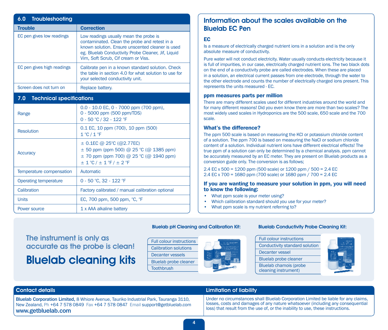| 6.0<br>Troubleshooting                 |                                                                                                                                                                                                                                           |  |  |
|----------------------------------------|-------------------------------------------------------------------------------------------------------------------------------------------------------------------------------------------------------------------------------------------|--|--|
| <b>Trouble</b>                         | <b>Correction</b>                                                                                                                                                                                                                         |  |  |
| EC pen gives low readings              | Low readings usually mean the probe is<br>contaminated. Clean the probe and retest in a<br>known solution. Ensure unscented cleaner is used<br>eg. Bluelab Conductivity Probe Cleaner, Jif, Liquid<br>Vim, Soft Scrub, Cif cream or Viss. |  |  |
| EC pen gives high readings             | Calibrate pen in a known standard solution. Check<br>the table in section 4.0 for what solution to use for<br>your selected conductivity unit.                                                                                            |  |  |
| Screen does not turn on                | Replace battery.                                                                                                                                                                                                                          |  |  |
| 7.0<br><b>Technical specifications</b> |                                                                                                                                                                                                                                           |  |  |
| Range                                  | $0.0 - 10.0$ EC, $0 - 7000$ ppm (700 ppm),<br>0 - 5000 ppm (500 ppm/TDS)<br>0 - 50 °C / 32 - 122 °F                                                                                                                                       |  |  |
| <b>Resolution</b>                      | 0.1 EC, 10 ppm (700), 10 ppm (500)<br>$1^{\circ}$ C / $1^{\circ}$ F                                                                                                                                                                       |  |  |
| <b>Accuracy</b>                        | $\pm$ 0.1EC @ 25°C (@2.77EC)<br>$\pm$ 50 ppm (ppm 500) @ 25 °C (@ 1385 ppm)<br>$\pm$ 70 ppm (ppm 700) @ 25 °C (@ 1940 ppm)<br>$\pm$ 1 °C / $\pm$ 1 °F / $\pm$ 2 °F                                                                        |  |  |
| Temperature compensation               | Automatic                                                                                                                                                                                                                                 |  |  |
| <b>Operating temperature</b>           | 0 - 50 °C, 32 - 122 °F                                                                                                                                                                                                                    |  |  |
| Calibration                            | Factory calibrated / manual calibration optional                                                                                                                                                                                          |  |  |
| <b>Units</b>                           | EC, 700 ppm, 500 ppm, °C, °F                                                                                                                                                                                                              |  |  |
| Power source                           | 1 x AAA alkaline battery                                                                                                                                                                                                                  |  |  |

### Information about the scales available on the Bluelab EC Pen

#### EC

Is a measure of electrically charged nutrient ions in a solution and is the only absolute measure of conductivity.

Pure water will not conduct electricity. Water usually conducts electricity because it is full of impurities, in our case, electrically charged nutrient ions. The two black dots on the end of a conductivity probe are called electrodes. When these are placed in a solution, an electrical current passes from one electrode, through the water to the other electrode and counts the number of electrically charged ions present. This represents the units measured - EC.

#### ppm measures parts per million

There are many different scales used for different industries around the world and for many different reasons! Did you even know there are more than two scales? The most widely used scales in Hydroponics are the 500 scale, 650 scale and the 700 scale.

#### What's the difference?

The ppm 500 scale is based on measuring the KCl or potassium chloride content of a solution. The ppm 700 is based on measuring the NaCl or sodium chloride content of a solution. Individual nutrient ions have different electrical effects! The true ppm of a solution can only be determined by a chemical analysis. ppm cannot be accurately measured by an EC meter. They are present on Bluelab products as a conversion guide only. The conversion is as follows;

2.4 EC x 500 = 1200 ppm (500 scale) or 1200 ppm / 500 = 2.4 EC 2.4 EC x 700 = 1680 ppm (700 scale) or 1680 ppm / 700 = 2.4 EC

#### If you are wanting to measure your solution in ppm, you will need to know the following:

- What ppm scale is your meter using?
- Which calibration standard should you use for your meter?
- What ppm scale is my nutrient referring to?

# The instrument is only as accurate as the probe is clean! Bluelab cleaning kits





#### Bluelab Conductivity Probe Cleaning Kit:

Full colour instructions Conductivity standard solution Decanter vessel Bluelab probe cleaner

Bluelab chamois (probe cleaning instrument)



Bluelab Corporation Limited, 8 Whiore Avenue, Tauriko Industrial Park, Tauranga 3110, New Zealand, Ph +64 7 578 0849 Fax +64 7 578 0847 Email support@getbluelab.com www.getbluelab.com

#### Contact details Limitation of liability

Under no circumstances shall Bluelab Corporation Limited be liable for any claims, losses, costs and damages of any nature whatsoever (including any consequential loss) that result from the use of, or the inability to use, these instructions.

Bluelab pH Cleaning and Calibration Kit: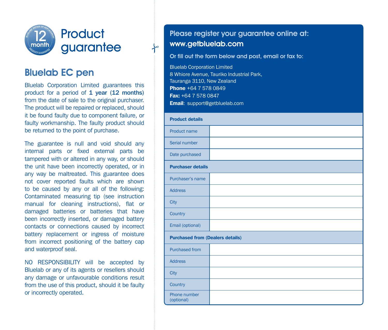

# Bluelab EC pen

Bluelab Corporation Limited guarantees this product for a period of 1 year (12 months) from the date of sale to the original purchaser. The product will be repaired or replaced, should it be found faulty due to component failure, or faulty workmanship. The faulty product should be returned to the point of purchase.

The guarantee is null and void should any internal parts or fixed external parts be tampered with or altered in any way, or should the unit have been incorrectly operated, or in any way be maltreated. This guarantee does not cover reported faults which are shown to be caused by any or all of the following: Contaminated measuring tip (see instruction manual for cleaning instructions), flat or damaged batteries or batteries that have been incorrectly inserted, or damaged battery contacts or connections caused by incorrect battery replacement or ingress of moisture from incorrect positioning of the battery cap and waterproof seal.

NO RESPONSIBILITY will be accepted by Bluelab or any of its agents or resellers should any damage or unfavourable conditions result from the use of this product, should it be faulty or incorrectly operated.

## Please register your guarantee online at: www.getbluelab.com

#### Or fill out the form below and post, email or fax to:

Bluelab Corporation Limited 8 Whiore Avenue, Tauriko Industrial Park, Tauranga 3110, New Zealand **Phone +64 7 578 0849** Fax: +64 7 578 0847 **Email:** support@getbluelab.com

 $\rightarrow$ 

| <b>Product details</b>                  |  |  |
|-----------------------------------------|--|--|
| Product name                            |  |  |
| Serial number                           |  |  |
| Date purchased                          |  |  |
| <b>Purchaser details</b>                |  |  |
| Purchaser's name                        |  |  |
| <b>Address</b>                          |  |  |
| <b>City</b>                             |  |  |
| Country                                 |  |  |
| Email (optional)                        |  |  |
| <b>Purchased from (Dealers details)</b> |  |  |
| <b>Purchased from</b>                   |  |  |
| <b>Address</b>                          |  |  |
| City                                    |  |  |
| Country                                 |  |  |
| Phone number<br>(optional)              |  |  |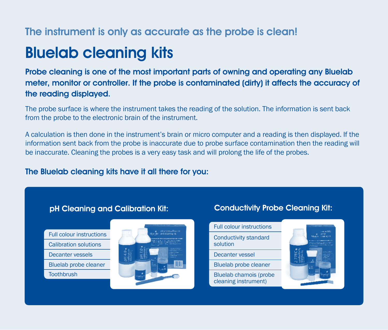# The instrument is only as accurate as the probe is clean!

# Bluelab cleaning kits

Probe cleaning is one of the most important parts of owning and operating any Bluelab meter, monitor or controller. If the probe is contaminated (dirty) it affects the accuracy of the reading displayed.

The probe surface is where the instrument takes the reading of the solution. The information is sent back from the probe to the electronic brain of the instrument.

A calculation is then done in the instrument's brain or micro computer and a reading is then displayed. If the information sent back from the probe is inaccurate due to probe surface contamination then the reading will be inaccurate. Cleaning the probes is a very easy task and will prolong the life of the probes.

# The Bluelab cleaning kits have it all there for you:

# pH Cleaning and Calibration Kit:

- Full colour instructions
- Calibration solutions
- Decanter vessels
- 
- Bluelab probe cleaner
- **Toothbrush**



# Conductivity Probe Cleaning Kit:

Full colour instructions Conductivity standard solution

Decanter vessel

Bluelab probe cleaner

Bluelab chamois (probe cleaning instrument)